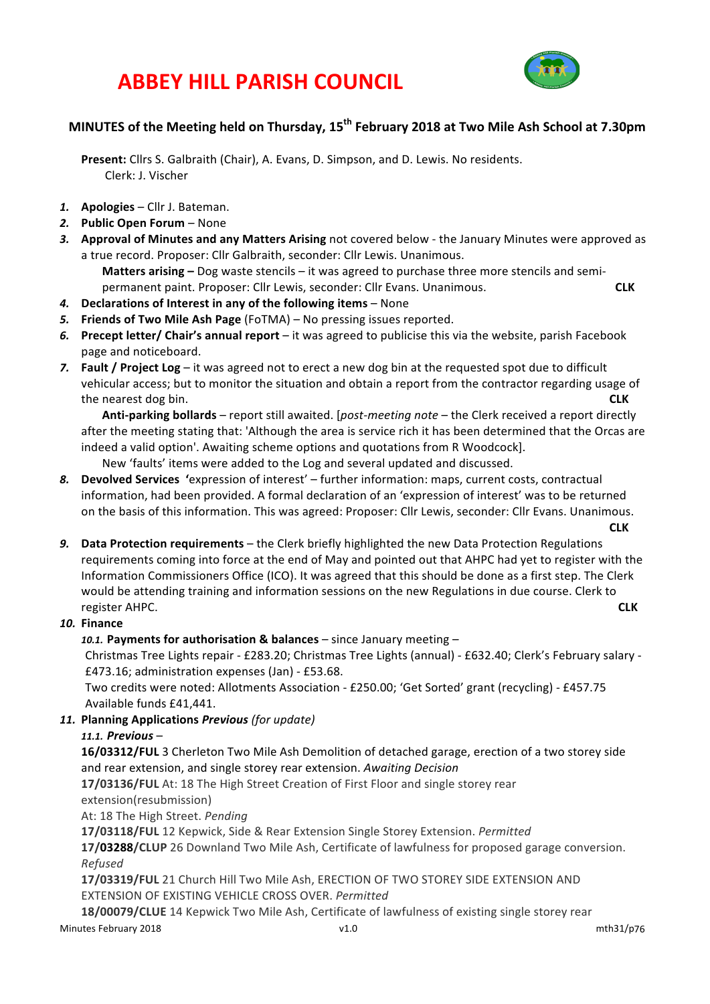## **ABBEY HILL PARISH COUNCIL**



### **MINUTES of the Meeting held on Thursday, 15th February 2018 at Two Mile Ash School at 7.30pm**

Present: Cllrs S. Galbraith (Chair), A. Evans, D. Simpson, and D. Lewis. No residents. Clerk: J. Vischer

- 1. **Apologies** Cllr J. Bateman.
- 2. Public Open Forum None
- 3. Approval of Minutes and any Matters Arising not covered below the January Minutes were approved as a true record. Proposer: Cllr Galbraith, seconder: Cllr Lewis. Unanimous.

**Matters arising** – Dog waste stencils – it was agreed to purchase three more stencils and semipermanent paint. Proposer: Cllr Lewis, seconder: Cllr Evans. Unanimous. *CLK* CLK

- 4. **Declarations of Interest in any of the following items** None
- 5. **Friends of Two Mile Ash Page** (FoTMA) No pressing issues reported.
- 6. Precept letter/ Chair's annual report it was agreed to publicise this via the website, parish Facebook page and noticeboard.
- 7. **Fault / Project Log** it was agreed not to erect a new dog bin at the requested spot due to difficult vehicular access; but to monitor the situation and obtain a report from the contractor regarding usage of the nearest dog bin. **CLK**

**Anti-parking bollards** – report still awaited. [*post-meeting note* – the Clerk received a report directly after the meeting stating that: 'Although the area is service rich it has been determined that the Orcas are indeed a valid option'. Awaiting scheme options and quotations from R Woodcock].

New 'faults' items were added to the Log and several updated and discussed.

- 8. **Devolved Services** 'expression of interest' further information: maps, current costs, contractual information, had been provided. A formal declaration of an 'expression of interest' was to be returned on the basis of this information. This was agreed: Proposer: Cllr Lewis, seconder: Cllr Evans. Unanimous.
- **CLK** 9. Data Protection requirements – the Clerk briefly highlighted the new Data Protection Regulations requirements coming into force at the end of May and pointed out that AHPC had yet to register with the Information Commissioners Office (ICO). It was agreed that this should be done as a first step. The Clerk would be attending training and information sessions on the new Regulations in due course. Clerk to **register AHPC. CLK**

#### *10.* **Finance**

10.1. Payments for authorisation & balances – since January meeting –

Christmas Tree Lights repair - £283.20; Christmas Tree Lights (annual) - £632.40; Clerk's February salary -£473.16; administration expenses (Jan) - £53.68.

Two credits were noted: Allotments Association - £250.00; 'Get Sorted' grant (recycling) - £457.75 Available funds £41,441.

*11.* **Planning Applications** *Previous (for update)*

#### *11.1. Previous* –

**16/03312/FUL** 3 Cherleton Two Mile Ash Demolition of detached garage, erection of a two storey side and rear extension, and single storey rear extension. Awaiting Decision

**17/03136/FUL** At: 18 The High Street Creation of First Floor and single storey rear extension(resubmission)

At: 18 The High Street. Pending

17/03118/FUL 12 Kepwick, Side & Rear Extension Single Storey Extension. *Permitted* 

17/03288/CLUP 26 Downland Two Mile Ash, Certificate of lawfulness for proposed garage conversion. *Refused*

17/03319/FUL 21 Church Hill Two Mile Ash, ERECTION OF TWO STOREY SIDE EXTENSION AND EXTENSION OF EXISTING VEHICLE CROSS OVER. *Permitted*

18/00079/CLUE 14 Kepwick Two Mile Ash, Certificate of lawfulness of existing single storey rear

Minutes February 2018 **v1.0** v1.0 mth31/p76